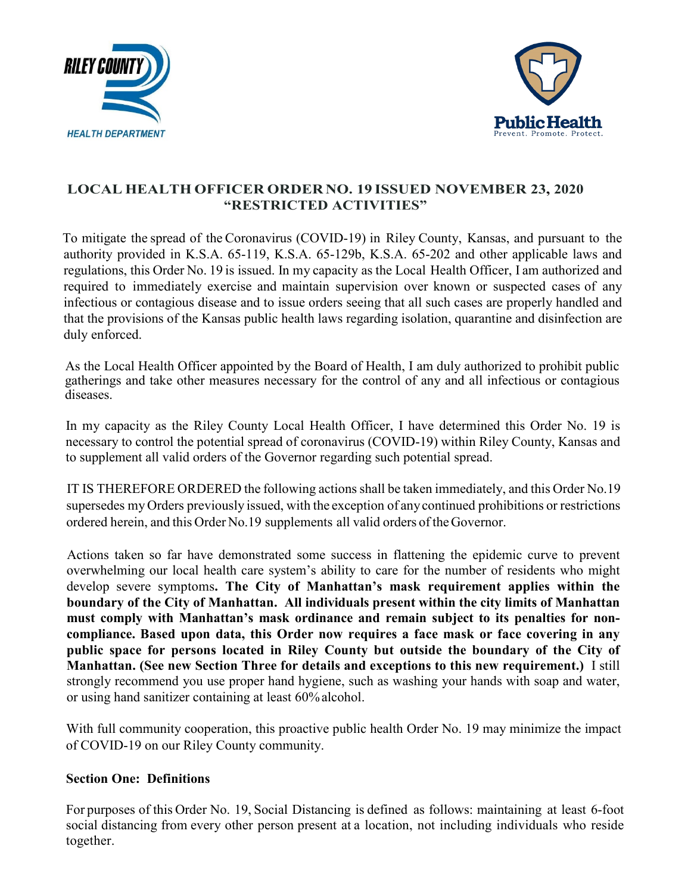



# **LOCAL HEALTH OFFICER ORDER NO. 19 ISSUED NOVEMBER 23, 2020 "RESTRICTED ACTIVITIES"**

To mitigate the spread of the Coronavirus (COVID-19) in Riley County, Kansas, and pursuant to the authority provided in K.S.A. 65-119, K.S.A. 65-129b, K.S.A. 65-202 and other applicable laws and regulations, this Order No. 19 is issued. In my capacity as the Local Health Officer, I am authorized and required to immediately exercise and maintain supervision over known or suspected cases of any infectious or contagious disease and to issue orders seeing that all such cases are properly handled and that the provisions of the Kansas public health laws regarding isolation, quarantine and disinfection are duly enforced.

As the Local Health Officer appointed by the Board of Health, I am duly authorized to prohibit public gatherings and take other measures necessary for the control of any and all infectious or contagious diseases.

In my capacity as the Riley County Local Health Officer, I have determined this Order No. 19 is necessary to control the potential spread of coronavirus (COVID-19) within Riley County, Kansas and to supplement all valid orders of the Governor regarding such potential spread.

IT IS THEREFORE ORDERED the following actions shall be taken immediately, and this Order No.19 supersedes my Orders previously issued, with the exception of anycontinued prohibitions or restrictions ordered herein, and this Order No.19 supplements all valid orders of theGovernor.

Actions taken so far have demonstrated some success in flattening the epidemic curve to prevent overwhelming our local health care system's ability to care for the number of residents who might develop severe symptoms**. The City of Manhattan's mask requirement applies within the boundary of the City of Manhattan. All individuals present within the city limits of Manhattan must comply with Manhattan's mask ordinance and remain subject to its penalties for noncompliance. Based upon data, this Order now requires a face mask or face covering in any public space for persons located in Riley County but outside the boundary of the City of Manhattan. (See new Section Three for details and exceptions to this new requirement.)** I still strongly recommend you use proper hand hygiene, such as washing your hands with soap and water, or using hand sanitizer containing at least 60%alcohol.

With full community cooperation, this proactive public health Order No. 19 may minimize the impact of COVID-19 on our Riley County community.

## **Section One: Definitions**

For purposes of this Order No. 19, Social Distancing is defined as follows: maintaining at least 6-foot social distancing from every other person present at a location, not including individuals who reside together.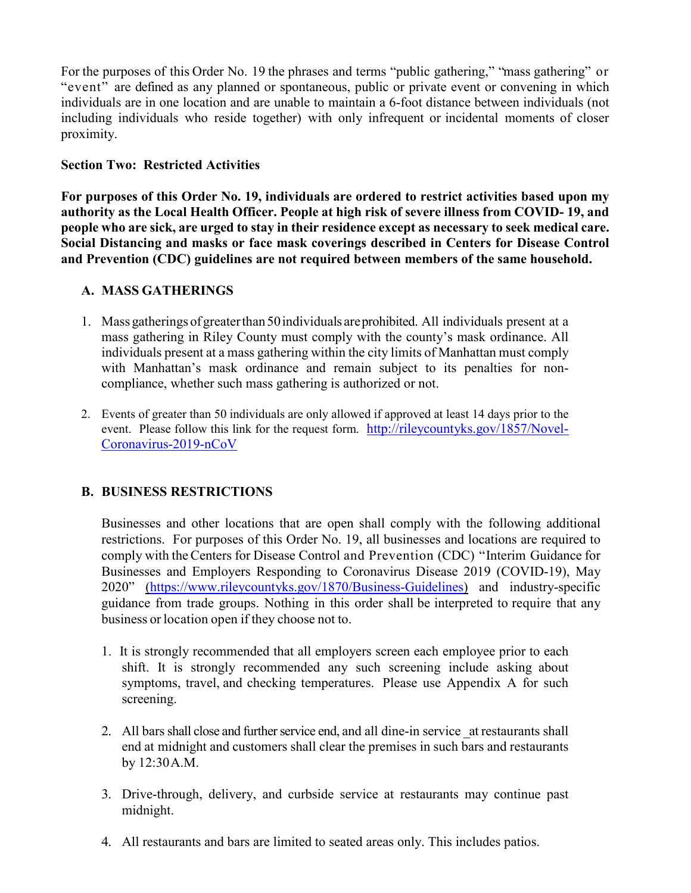For the purposes of this Order No. 19 the phrases and terms "public gathering," "mass gathering" or "event" are defined as any planned or spontaneous, public or private event or convening in which individuals are in one location and are unable to maintain a 6-foot distance between individuals (not including individuals who reside together) with only infrequent or incidental moments of closer proximity.

## **Section Two: Restricted Activities**

**For purposes of this Order No. 19, individuals are ordered to restrict activities based upon my authority as the Local Health Officer. People at high risk of severe illness from COVID- 19, and people who are sick, are urged to stay in their residence except as necessary to seek medical care. Social Distancing and masks or face mask coverings described in Centers for Disease Control and Prevention (CDC) guidelines are not required between members of the same household.**

## **A. MASS GATHERINGS**

- 1. Mass gatherings ofgreaterthan 50individuals areprohibited. All individuals present at a mass gathering in Riley County must comply with the county's mask ordinance. All individuals present at a mass gathering within the city limits of Manhattan must comply with Manhattan's mask ordinance and remain subject to its penalties for noncompliance, whether such mass gathering is authorized or not.
- 2. Events of greater than 50 individuals are only allowed if approved at least 14 days prior to the event. Please follow this link for the request form. [http://rileycountyks.gov/1857/Novel-](http://rileycountyks.gov/1857/Novel-Coronavirus-2019-nCoV)[Coronavirus-2019-nCoV](http://rileycountyks.gov/1857/Novel-Coronavirus-2019-nCoV)

## **B. BUSINESS RESTRICTIONS**

Businesses and other locations that are open shall comply with the following additional restrictions. For purposes of this Order No. 19, all businesses and locations are required to comply with theCenters for Disease Control and Prevention (CDC) "Interim Guidance for Businesses and Employers Responding to Coronavirus Disease 2019 (COVID-19), May 2020" [\(https://www.rileycountyks.gov/1870/Business-Guidelines\)](https://www.rileycountyks.gov/1870/Business-Guidelines) and industry-specific guidance from trade groups. Nothing in this order shall be interpreted to require that any business or location open if they choose not to.

- 1. It is strongly recommended that all employers screen each employee prior to each shift. It is strongly recommended any such screening include asking about symptoms, travel, and checking temperatures. Please use Appendix A for such screening.
- 2. All bars shall close and further service end, and all dine-in service \_at restaurants shall end at midnight and customers shall clear the premises in such bars and restaurants by 12:30A.M.
- 3. Drive-through, delivery, and curbside service at restaurants may continue past midnight.
- 4. All restaurants and bars are limited to seated areas only. This includes patios.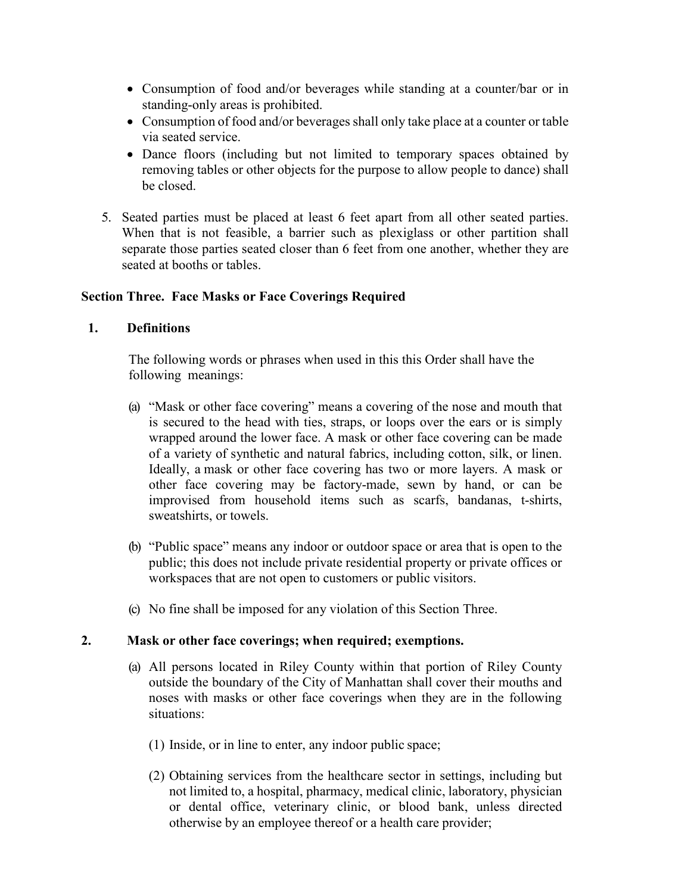- Consumption of food and/or beverages while standing at a counter/bar or in standing-only areas is prohibited.
- Consumption of food and/or beverages shall only take place at a counter or table via seated service.
- Dance floors (including but not limited to temporary spaces obtained by removing tables or other objects for the purpose to allow people to dance) shall be closed.
- 5. Seated parties must be placed at least 6 feet apart from all other seated parties. When that is not feasible, a barrier such as plexiglass or other partition shall separate those parties seated closer than 6 feet from one another, whether they are seated at booths or tables.

## **Section Three. Face Masks or Face Coverings Required**

#### **1. Definitions**

The following words or phrases when used in this this Order shall have the following meanings:

- (a) "Mask or other face covering" means a covering of the nose and mouth that is secured to the head with ties, straps, or loops over the ears or is simply wrapped around the lower face. A mask or other face covering can be made of a variety of synthetic and natural fabrics, including cotton, silk, or linen. Ideally, a mask or other face covering has two or more layers. A mask or other face covering may be factory-made, sewn by hand, or can be improvised from household items such as scarfs, bandanas, t-shirts, sweatshirts, or towels.
- (b) "Public space" means any indoor or outdoor space or area that is open to the public; this does not include private residential property or private offices or workspaces that are not open to customers or public visitors.
- (c) No fine shall be imposed for any violation of this Section Three.

#### **2. Mask or other face coverings; when required; exemptions.**

- (a) All persons located in Riley County within that portion of Riley County outside the boundary of the City of Manhattan shall cover their mouths and noses with masks or other face coverings when they are in the following situations:
	- (1) Inside, or in line to enter, any indoor public space;
	- (2) Obtaining services from the healthcare sector in settings, including but not limited to, a hospital, pharmacy, medical clinic, laboratory, physician or dental office, veterinary clinic, or blood bank, unless directed otherwise by an employee thereof or a health care provider;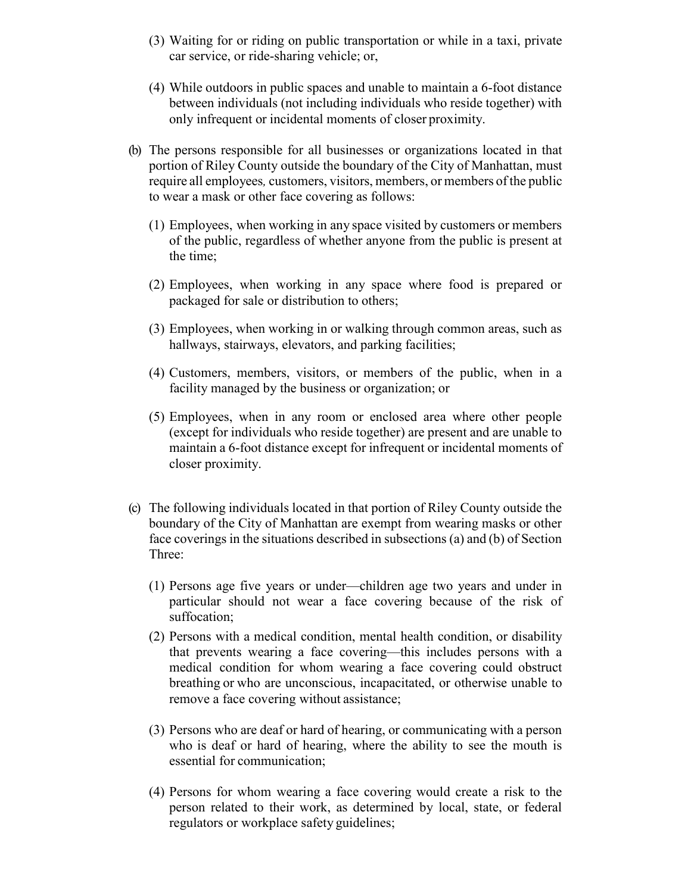- (3) Waiting for or riding on public transportation or while in a taxi, private car service, or ride-sharing vehicle; or,
- (4) While outdoors in public spaces and unable to maintain a 6-foot distance between individuals (not including individuals who reside together) with only infrequent or incidental moments of closer proximity.
- (b) The persons responsible for all businesses or organizations located in that portion of Riley County outside the boundary of the City of Manhattan, must require all employees*,* customers, visitors, members, or members of the public to wear a mask or other face covering as follows:
	- (1) Employees, when working in any space visited by customers or members of the public, regardless of whether anyone from the public is present at the time;
	- (2) Employees, when working in any space where food is prepared or packaged for sale or distribution to others;
	- (3) Employees, when working in or walking through common areas, such as hallways, stairways, elevators, and parking facilities;
	- (4) Customers, members, visitors, or members of the public, when in a facility managed by the business or organization; or
	- (5) Employees, when in any room or enclosed area where other people (except for individuals who reside together) are present and are unable to maintain a 6-foot distance except for infrequent or incidental moments of closer proximity.
- (c) The following individuals located in that portion of Riley County outside the boundary of the City of Manhattan are exempt from wearing masks or other face coverings in the situations described in subsections (a) and (b) of Section Three:
	- (1) Persons age five years or under—children age two years and under in particular should not wear a face covering because of the risk of suffocation;
	- (2) Persons with a medical condition, mental health condition, or disability that prevents wearing a face covering—this includes persons with a medical condition for whom wearing a face covering could obstruct breathing or who are unconscious, incapacitated, or otherwise unable to remove a face covering without assistance;
	- (3) Persons who are deaf or hard of hearing, or communicating with a person who is deaf or hard of hearing, where the ability to see the mouth is essential for communication;
	- (4) Persons for whom wearing a face covering would create a risk to the person related to their work, as determined by local, state, or federal regulators or workplace safety guidelines;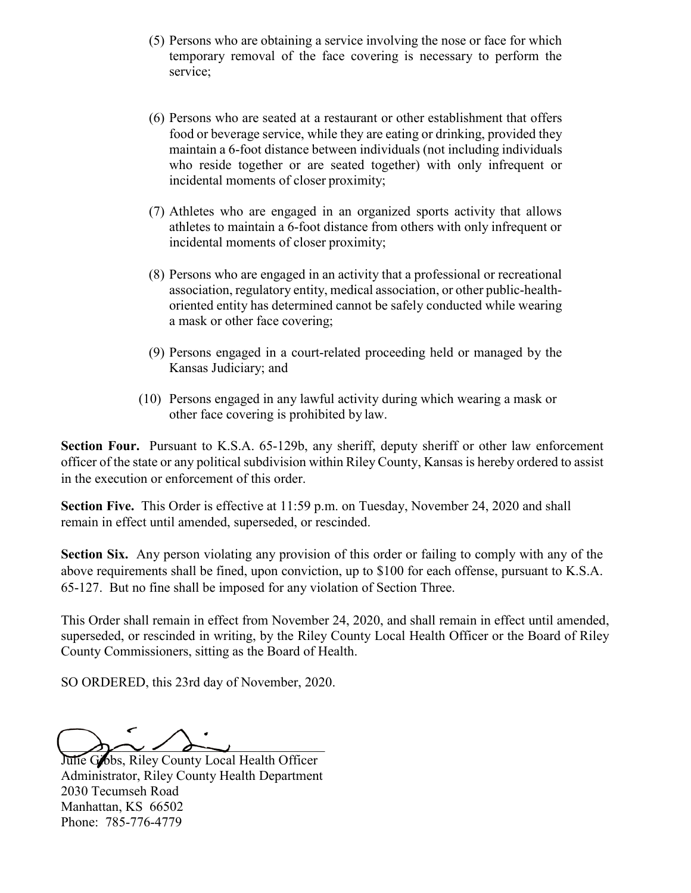- (5) Persons who are obtaining a service involving the nose or face for which temporary removal of the face covering is necessary to perform the service;
- (6) Persons who are seated at a restaurant or other establishment that offers food or beverage service, while they are eating or drinking, provided they maintain a 6-foot distance between individuals (not including individuals who reside together or are seated together) with only infrequent or incidental moments of closer proximity;
- (7) Athletes who are engaged in an organized sports activity that allows athletes to maintain a 6-foot distance from others with only infrequent or incidental moments of closer proximity;
- (8) Persons who are engaged in an activity that a professional or recreational association, regulatory entity, medical association, or other public-healthoriented entity has determined cannot be safely conducted while wearing a mask or other face covering;
- (9) Persons engaged in a court-related proceeding held or managed by the Kansas Judiciary; and
- (10) Persons engaged in any lawful activity during which wearing a mask or other face covering is prohibited by law.

**Section Four.** Pursuant to K.S.A. 65-129b, any sheriff, deputy sheriff or other law enforcement officer of the state or any political subdivision within Riley County, Kansas is hereby ordered to assist in the execution or enforcement of this order.

**Section Five.** This Order is effective at 11:59 p.m. on Tuesday, November 24, 2020 and shall remain in effect until amended, superseded, or rescinded.

**Section Six.** Any person violating any provision of this order or failing to comply with any of the above requirements shall be fined, upon conviction, up to \$100 for each offense, pursuant to K.S.A. 65-127. But no fine shall be imposed for any violation of Section Three.

This Order shall remain in effect from November 24, 2020, and shall remain in effect until amended, superseded, or rescinded in writing, by the Riley County Local Health Officer or the Board of Riley County Commissioners, sitting as the Board of Health.

SO ORDERED, this 23rd day of November, 2020.

 $\Delta$ 

Julie Gobs, Riley County Local Health Officer Administrator, Riley County Health Department 2030 Tecumseh Road Manhattan, KS 66502 Phone: 785-776-4779